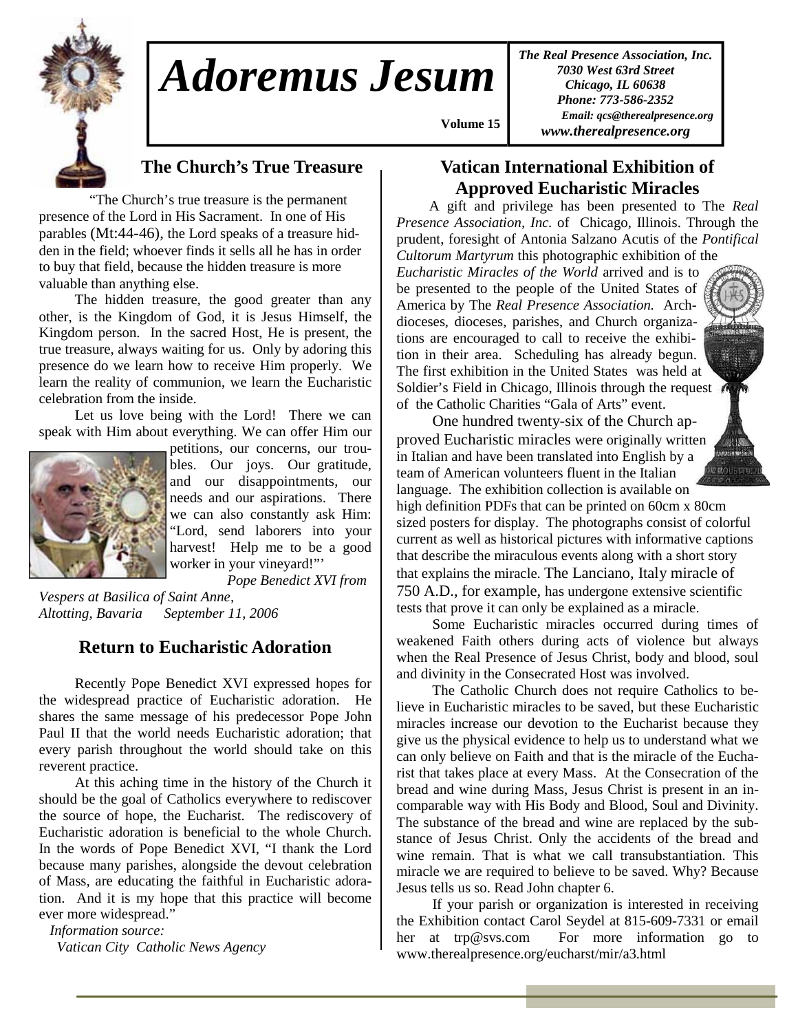

# *Adoremus Jesum*

*The Real Presence Association, Inc. 7030 West 63rd Street Chicago, IL 60638 Phone: 773-586-2352 Email: qcs@therealpresence.org www.therealpresence.org* 

### **The Church's True Treasure**

 "The Church's true treasure is the permanent presence of the Lord in His Sacrament. In one of His parables (Mt:44-46), the Lord speaks of a treasure hidden in the field; whoever finds it sells all he has in order to buy that field, because the hidden treasure is more valuable than anything else.

 The hidden treasure, the good greater than any other, is the Kingdom of God, it is Jesus Himself, the Kingdom person. In the sacred Host, He is present, the true treasure, always waiting for us. Only by adoring this presence do we learn how to receive Him properly. We learn the reality of communion, we learn the Eucharistic celebration from the inside.

 Let us love being with the Lord! There we can speak with Him about everything. We can offer Him our



petitions, our concerns, our troubles. Our joys. Our gratitude, and our disappointments, our needs and our aspirations. There we can also constantly ask Him: "Lord, send laborers into your harvest! Help me to be a good worker in your vineyard!"'

 *Pope Benedict XVI from Vespers at Basilica of Saint Anne, Altotting, Bavaria September 11, 2006* 

#### **Return to Eucharistic Adoration**

 Recently Pope Benedict XVI expressed hopes for the widespread practice of Eucharistic adoration. He shares the same message of his predecessor Pope John Paul II that the world needs Eucharistic adoration; that every parish throughout the world should take on this reverent practice.

 At this aching time in the history of the Church it should be the goal of Catholics everywhere to rediscover the source of hope, the Eucharist. The rediscovery of Eucharistic adoration is beneficial to the whole Church. In the words of Pope Benedict XVI, "I thank the Lord because many parishes, alongside the devout celebration of Mass, are educating the faithful in Eucharistic adoration. And it is my hope that this practice will become ever more widespread."

 *Information source: Vatican City Catholic News Agency* 

#### **Vatican International Exhibition of Approved Eucharistic Miracles**

 **Volume 15,**

A gift and privilege has been presented to The *Real Presence Association, Inc.* of Chicago, Illinois. Through the prudent, foresight of Antonia Salzano Acutis of the *Pontifical Cultorum Martyrum* this photographic exhibition of the

*Eucharistic Miracles of the World* arrived and is to be presented to the people of the United States of America by The *Real Presence Association.* Archdioceses, dioceses, parishes, and Church organizations are encouraged to call to receive the exhibition in their area. Scheduling has already begun. The first exhibition in the United States was held at Soldier's Field in Chicago, Illinois through the request of the Catholic Charities "Gala of Arts" event.

 One hundred twenty-six of the Church approved Eucharistic miracles were originally written in Italian and have been translated into English by a team of American volunteers fluent in the Italian language. The exhibition collection is available on

high definition PDFs that can be printed on 60cm x 80cm sized posters for display. The photographs consist of colorful current as well as historical pictures with informative captions that describe the miraculous events along with a short story that explains the miracle. The Lanciano, Italy miracle of 750 A.D., for example, has undergone extensive scientific tests that prove it can only be explained as a miracle.

 Some Eucharistic miracles occurred during times of weakened Faith others during acts of violence but always when the Real Presence of Jesus Christ, body and blood, soul and divinity in the Consecrated Host was involved.

 The Catholic Church does not require Catholics to believe in Eucharistic miracles to be saved, but these Eucharistic miracles increase our devotion to the Eucharist because they give us the physical evidence to help us to understand what we can only believe on Faith and that is the miracle of the Eucharist that takes place at every Mass. At the Consecration of the bread and wine during Mass, Jesus Christ is present in an incomparable way with His Body and Blood, Soul and Divinity. The substance of the bread and wine are replaced by the substance of Jesus Christ. Only the accidents of the bread and wine remain. That is what we call transubstantiation. This miracle we are required to believe to be saved. Why? Because Jesus tells us so. Read John chapter 6.

 If your parish or organization is interested in receiving the Exhibition contact Carol Seydel at 815-609-7331 or email her at trp@svs.com For more information go to www.therealpresence.org/eucharst/mir/a3.html